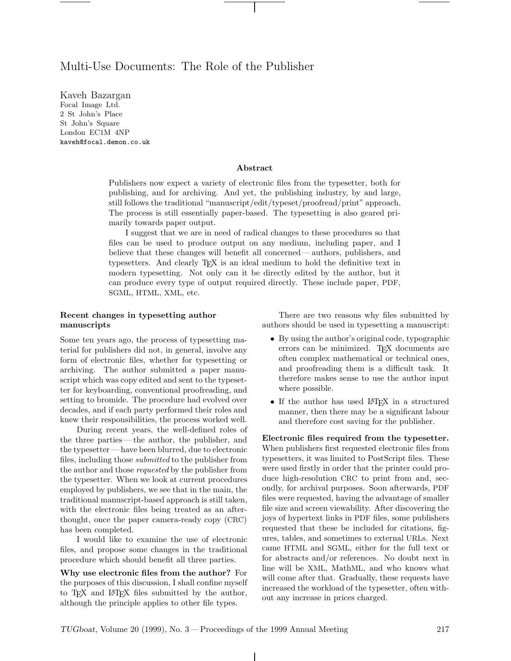# Multi-Use Documents: The Role of the Publisher

Focal Image Ltd. 2 St John's Place St John's Square London EC1M 4NP kaveh@focal.demon.co.uk

#### **Abstract**

Publishers now expect a variety of electronic files from the typesetter, both for publishing, and for archiving. And yet, the publishing industry, by and large, still follows the traditional "manuscript/edit/typeset/proofread/print" approach. The process is still essentially paper-based. The typesetting is also geared primarily towards paper output.

I suggest that we are in need of radical changes to these procedures so that files can be used to produce output on any medium, including paper, and I believe that these changes will benefit all concerned— authors, publishers, and typesetters. And clearly TEX is an ideal medium to hold the definitive text in modern typesetting. Not only can it be directly edited by the author, but it can produce every type of output required directly. These include paper, PDF, SGML, HTML, XML, etc.

# **Recent changes in typesetting author manuscripts**

Some ten years ago, the process of typesetting material for publishers did not, in general, involve any form of electronic files, whether for typesetting or archiving. The author submitted a paper manuscript which was copy edited and sent to the typesetter for keyboarding, conventional proofreading, and setting to bromide. The procedure had evolved over decades, and if each party performed their roles and knew their responsibilities, the process worked well.

During recent years, the well-defined roles of the three parties— the author, the publisher, and the typesetter— have been blurred, due to electronic files, including those *submitted* to the publisher from the author and those *requested* by the publisher from the typesetter. When we look at current procedures employed by publishers, we see that in the main, the traditional manuscript-based approach is still taken, with the electronic files being treated as an afterthought, once the paper camera-ready copy (CRC) has been completed.

I would like to examine the use of electronic files, and propose some changes in the traditional procedure which should benefit all three parties.

**Why use electronic files from the author?** For the purposes of this discussion, I shall confine myself to T<sub>EX</sub> and LAT<sub>EX</sub> files submitted by the author, although the principle applies to other file types.

There are two reasons why files submitted by authors should be used in typesetting a manuscript:

- By using the author's original code, typographic errors can be minimized. TEX documents are often complex mathematical or technical ones, and proofreading them is a difficult task. It therefore makes sense to use the author input where possible.
- If the author has used LAT<sub>EX</sub> in a structured manner, then there may be a significant labour and therefore cost saving for the publisher.

**Electronic files required from the typesetter.** When publishers first requested electronic files from typesetters, it was limited to PostScript files. These were used firstly in order that the printer could produce high-resolution CRC to print from and, secondly, for archival purposes. Soon afterwards, PDF files were requested, having the advantage of smaller file size and screen viewability. After discovering the joys of hypertext links in PDF files, some publishers requested that these be included for citations, figures, tables, and sometimes to external URLs. Next came HTML and SGML, either for the full text or for abstracts and/or references. No doubt next in line will be XML, MathML, and who knows what will come after that. Gradually, these requests have increased the workload of the typesetter, often without any increase in prices charged.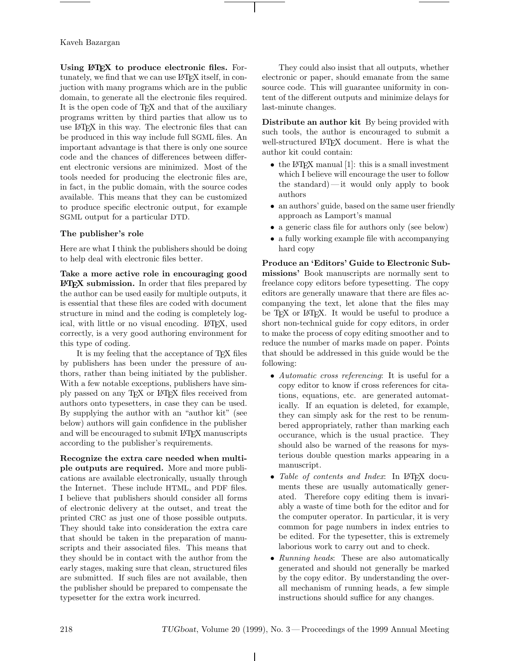# Kaveh Bazargan

**Using LATEX to produce electronic files.** Fortunately, we find that we can use LAT<sub>EX</sub> itself, in conjuction with many programs which are in the public domain, to generate all the electronic files required. It is the open code of TEX and that of the auxiliary programs written by third parties that allow us to use LATEX in this way. The electronic files that can be produced in this way include full SGML files. An important advantage is that there is only one source code and the chances of differences between different electronic versions are minimized. Most of the tools needed for producing the electronic files are, in fact, in the public domain, with the source codes available. This means that they can be customized to produce specific electronic output, for example SGML output for a particular DTD.

# **The publisher's role**

Here are what I think the publishers should be doing to help deal with electronic files better.

**Take a more active role in encouraging good LATEX** submission. In order that files prepared by the author can be used easily for multiple outputs, it is essential that these files are coded with document structure in mind and the coding is completely logical, with little or no visual encoding. LAT<sub>EX</sub>, used correctly, is a very good authoring environment for this type of coding.

It is my feeling that the acceptance of T<sub>E</sub>X files by publishers has been under the pressure of authors, rather than being initiated by the publisher. With a few notable exceptions, publishers have simply passed on any TEX or LATEX files received from authors onto typesetters, in case they can be used. By supplying the author with an "author kit" (see below) authors will gain confidence in the publisher and will be encouraged to submit LAT<sub>EX</sub> manuscripts according to the publisher's requirements.

**Recognize the extra care needed when multiple outputs are required.** More and more publications are available electronically, usually through the Internet. These include HTML, and PDF files. I believe that publishers should consider all forms of electronic delivery at the outset, and treat the printed CRC as just one of those possible outputs. They should take into consideration the extra care that should be taken in the preparation of manuscripts and their associated files. This means that they should be in contact with the author from the early stages, making sure that clean, structured files are submitted. If such files are not available, then the publisher should be prepared to compensate the typesetter for the extra work incurred.

They could also insist that all outputs, whether electronic or paper, should emanate from the same source code. This will guarantee uniformity in content of the different outputs and minimize delays for last-minute changes.

**Distribute an author kit** By being provided with such tools, the author is encouraged to submit a well-structured LAT<sub>F</sub>X document. Here is what the author kit could contain:

- the L<sup>AT</sup>EX manual  $[1]$ : this is a small investment which I believe will encourage the user to follow the standard)—it would only apply to book authors
- an authors' guide, based on the same user friendly approach as Lamport's manual
- a generic class file for authors only (see below)
- a fully working example file with accompanying hard copy

**Produce an 'Editors' Guide to Electronic Submissions'** Book manuscripts are normally sent to freelance copy editors before typesetting. The copy editors are generally unaware that there are files accompanying the text, let alone that the files may be T<sub>F</sub>X or L<sup>AT</sup>F<sub>K</sub>. It would be useful to produce a short non-technical guide for copy editors, in order to make the process of copy editing smoother and to reduce the number of marks made on paper. Points that should be addressed in this guide would be the following:

- *Automatic cross referencing*: It is useful for a copy editor to know if cross references for citations, equations, etc. are generated automatically. If an equation is deleted, for example, they can simply ask for the rest to be renumbered appropriately, rather than marking each occurance, which is the usual practice. They should also be warned of the reasons for mysterious double question marks appearing in a manuscript.
- *Table of contents and Index*: In L<sup>AT</sup>FX documents these are usually automatically generated. Therefore copy editing them is invariably a waste of time both for the editor and for the computer operator. In particular, it is very common for page numbers in index entries to be edited. For the typesetter, this is extremely laborious work to carry out and to check.
- *Running heads*: These are also automatically generated and should not generally be marked by the copy editor. By understanding the overall mechanism of running heads, a few simple instructions should suffice for any changes.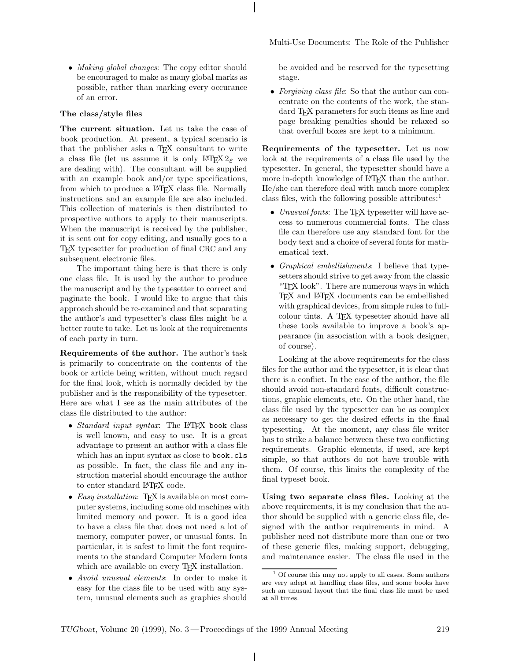• *Making global changes*: The copy editor should be encouraged to make as many global marks as possible, rather than marking every occurance of an error.

#### **The class/style files**

**The current situation.** Let us take the case of book production. At present, a typical scenario is that the publisher asks a T<sub>EX</sub> consultant to write a class file (let us assume it is only  $\angle$ ETEX 2<sub>ε</sub> we are dealing with). The consultant will be supplied with an example book and/or type specifications, from which to produce a LAT<sub>EX</sub> class file. Normally instructions and an example file are also included. This collection of materials is then distributed to prospective authors to apply to their manuscripts. When the manuscript is received by the publisher, it is sent out for copy editing, and usually goes to a TEX typesetter for production of final CRC and any subsequent electronic files.

The important thing here is that there is only one class file. It is used by the author to produce the manuscript and by the typesetter to correct and paginate the book. I would like to argue that this approach should be re-examined and that separating the author's and typesetter's class files might be a better route to take. Let us look at the requirements of each party in turn.

**Requirements of the author.** The author's task is primarily to concentrate on the contents of the book or article being written, without much regard for the final look, which is normally decided by the publisher and is the responsibility of the typesetter. Here are what I see as the main attributes of the class file distributed to the author:

- *Standard input syntax*: The L<sup>AT</sup>FX book class is well known, and easy to use. It is a great advantage to present an author with a class file which has an input syntax as close to book.cls as possible. In fact, the class file and any instruction material should encourage the author to enter standard LATEX code.
- *Easy installation*: T<sub>F</sub>X is available on most computer systems, including some old machines with limited memory and power. It is a good idea to have a class file that does not need a lot of memory, computer power, or unusual fonts. In particular, it is safest to limit the font requirements to the standard Computer Modern fonts which are available on every T<sub>F</sub>X installation.
- *Avoid unusual elements*: In order to make it easy for the class file to be used with any system, unusual elements such as graphics should

Multi-Use Documents: The Role of the Publisher

be avoided and be reserved for the typesetting stage.

• *Forgiving class file*: So that the author can concentrate on the contents of the work, the standard T<sub>F</sub>X parameters for such items as line and page breaking penalties should be relaxed so that overfull boxes are kept to a minimum.

**Requirements of the typesetter.** Let us now look at the requirements of a class file used by the typesetter. In general, the typesetter should have a more in-depth knowledge of LAT<sub>E</sub>X than the author. He/she can therefore deal with much more complex class files, with the following possible attributes: $<sup>1</sup>$ </sup>

- *Unusual fonts*: The T<sub>E</sub>X typesetter will have access to numerous commercial fonts. The class file can therefore use any standard font for the body text and a choice of several fonts for mathematical text.
- *Graphical embellishments*: I believe that typesetters should strive to get away from the classic "TEX look". There are numerous ways in which TEX and LATEX documents can be embellished with graphical devices, from simple rules to fullcolour tints. A TEX typesetter should have all these tools available to improve a book's appearance (in association with a book designer, of course).

Looking at the above requirements for the class files for the author and the typesetter, it is clear that there is a conflict. In the case of the author, the file should avoid non-standard fonts, difficult constructions, graphic elements, etc. On the other hand, the class file used by the typesetter can be as complex as necessary to get the desired effects in the final typesetting. At the moment, any class file writer has to strike a balance between these two conflicting requirements. Graphic elements, if used, are kept simple, so that authors do not have trouble with them. Of course, this limits the complexity of the final typeset book.

**Using two separate class files.** Looking at the above requirements, it is my conclusion that the author should be supplied with a generic class file, designed with the author requirements in mind. A publisher need not distribute more than one or two of these generic files, making support, debugging, and maintenance easier. The class file used in the

<sup>1</sup> Of course this may not apply to all cases. Some authors are very adept at handling class files, and some books have such an unusual layout that the final class file must be used at all times.